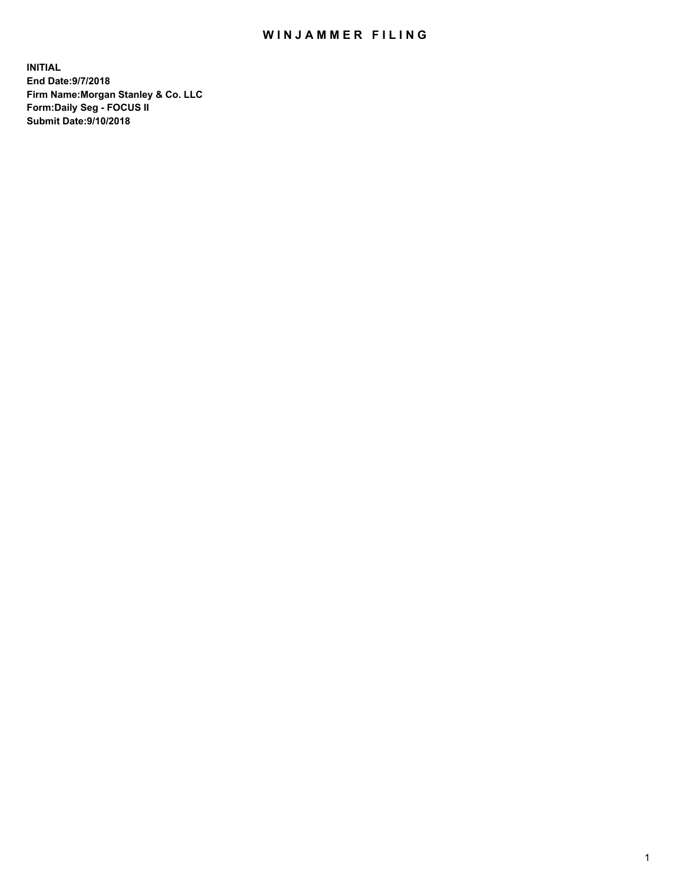## WIN JAMMER FILING

**INITIAL End Date:9/7/2018 Firm Name:Morgan Stanley & Co. LLC Form:Daily Seg - FOCUS II Submit Date:9/10/2018**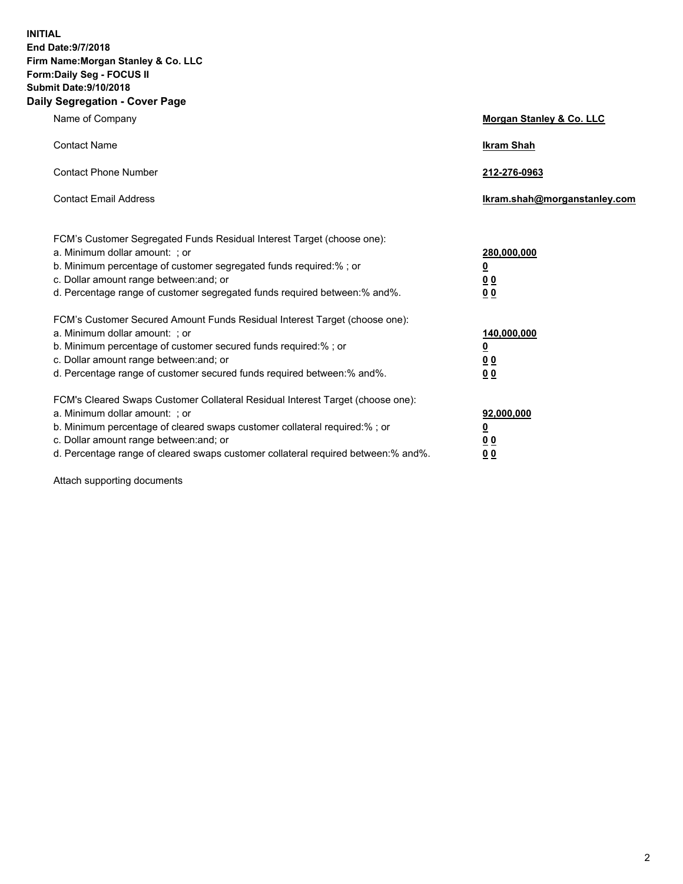**INITIAL End Date:9/7/2018 Firm Name:Morgan Stanley & Co. LLC Form:Daily Seg - FOCUS II Submit Date:9/10/2018 Daily Segregation - Cover Page**

| Name of Company                                                                                                                                                                                                                                                                                                                | Morgan Stanley & Co. LLC                               |
|--------------------------------------------------------------------------------------------------------------------------------------------------------------------------------------------------------------------------------------------------------------------------------------------------------------------------------|--------------------------------------------------------|
| <b>Contact Name</b>                                                                                                                                                                                                                                                                                                            | <b>Ikram Shah</b>                                      |
| <b>Contact Phone Number</b>                                                                                                                                                                                                                                                                                                    | 212-276-0963                                           |
| <b>Contact Email Address</b>                                                                                                                                                                                                                                                                                                   | Ikram.shah@morganstanley.com                           |
| FCM's Customer Segregated Funds Residual Interest Target (choose one):<br>a. Minimum dollar amount: ; or<br>b. Minimum percentage of customer segregated funds required:% ; or<br>c. Dollar amount range between: and; or<br>d. Percentage range of customer segregated funds required between:% and%.                         | 280,000,000<br><u>0</u><br>0 <sup>0</sup><br><u>00</u> |
| FCM's Customer Secured Amount Funds Residual Interest Target (choose one):<br>a. Minimum dollar amount: ; or<br>b. Minimum percentage of customer secured funds required:%; or<br>c. Dollar amount range between: and; or<br>d. Percentage range of customer secured funds required between:% and%.                            | 140,000,000<br><u>0</u><br>0 Q<br>0 <sup>0</sup>       |
| FCM's Cleared Swaps Customer Collateral Residual Interest Target (choose one):<br>a. Minimum dollar amount: ; or<br>b. Minimum percentage of cleared swaps customer collateral required:% ; or<br>c. Dollar amount range between: and; or<br>d. Percentage range of cleared swaps customer collateral required between:% and%. | 92,000,000<br><u>0</u><br><u>00</u><br>00              |

Attach supporting documents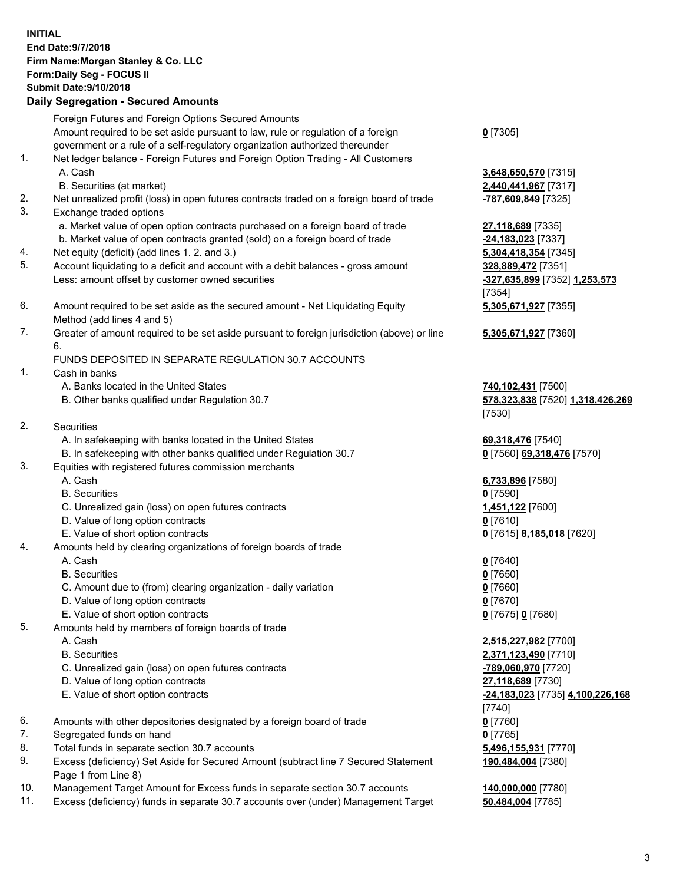## **INITIAL End Date:9/7/2018 Firm Name:Morgan Stanley & Co. LLC Form:Daily Seg - FOCUS II Submit Date:9/10/2018 Daily Segregation - Secured Amounts**

Foreign Futures and Foreign Options Secured Amounts Amount required to be set aside pursuant to law, rule or regulation of a foreign government or a rule of a self-regulatory organization authorized thereunder 1. Net ledger balance - Foreign Futures and Foreign Option Trading - All Customers A. Cash **3,648,650,570** [7315] B. Securities (at market) **2,440,441,967** [7317] 2. Net unrealized profit (loss) in open futures contracts traded on a foreign board of trade **-787,609,849** [7325] 3. Exchange traded options a. Market value of open option contracts purchased on a foreign board of trade **27,118,689** [7335] b. Market value of open contracts granted (sold) on a foreign board of trade **-24,183,023** [7337] 4. Net equity (deficit) (add lines 1. 2. and 3.) **5,304,418,354** [7345] 5. Account liquidating to a deficit and account with a debit balances - gross amount **328,889,472** [7351] Less: amount offset by customer owned securities **-327,635,899** [7352] **1,253,573** 6. Amount required to be set aside as the secured amount - Net Liquidating Equity Method (add lines 4 and 5) 7. Greater of amount required to be set aside pursuant to foreign jurisdiction (above) or line 6. FUNDS DEPOSITED IN SEPARATE REGULATION 30.7 ACCOUNTS 1. Cash in banks A. Banks located in the United States **740,102,431** [7500] B. Other banks qualified under Regulation 30.7 **578,323,838** [7520] **1,318,426,269** 2. Securities A. In safekeeping with banks located in the United States **69,318,476** [7540] B. In safekeeping with other banks qualified under Regulation 30.7 **0** [7560] **69,318,476** [7570] 3. Equities with registered futures commission merchants A. Cash **6,733,896** [7580] B. Securities **0** [7590] C. Unrealized gain (loss) on open futures contracts **1,451,122** [7600] D. Value of long option contracts **0** [7610] E. Value of short option contracts **0** [7615] **8,185,018** [7620] 4. Amounts held by clearing organizations of foreign boards of trade A. Cash **0** [7640] B. Securities **0** [7650]

- C. Amount due to (from) clearing organization daily variation **0** [7660]
- D. Value of long option contracts **0** [7670]
- E. Value of short option contracts **0** [7675] **0** [7680]
- 5. Amounts held by members of foreign boards of trade
	-
	-
	- C. Unrealized gain (loss) on open futures contracts **-789,060,970** [7720]
	- D. Value of long option contracts **27,118,689** [7730]
	- E. Value of short option contracts **-24,183,023** [7735] **4,100,226,168**
- 6. Amounts with other depositories designated by a foreign board of trade **0** [7760]
- 7. Segregated funds on hand **0** [7765]
- 8. Total funds in separate section 30.7 accounts **5,496,155,931** [7770]
- 9. Excess (deficiency) Set Aside for Secured Amount (subtract line 7 Secured Statement Page 1 from Line 8)
- 10. Management Target Amount for Excess funds in separate section 30.7 accounts **140,000,000** [7780]
- 11. Excess (deficiency) funds in separate 30.7 accounts over (under) Management Target **50,484,004** [7785]

**0** [7305]

[7354] **5,305,671,927** [7355]

**5,305,671,927** [7360]

[7530]

 A. Cash **2,515,227,982** [7700] B. Securities **2,371,123,490** [7710] [7740] **190,484,004** [7380]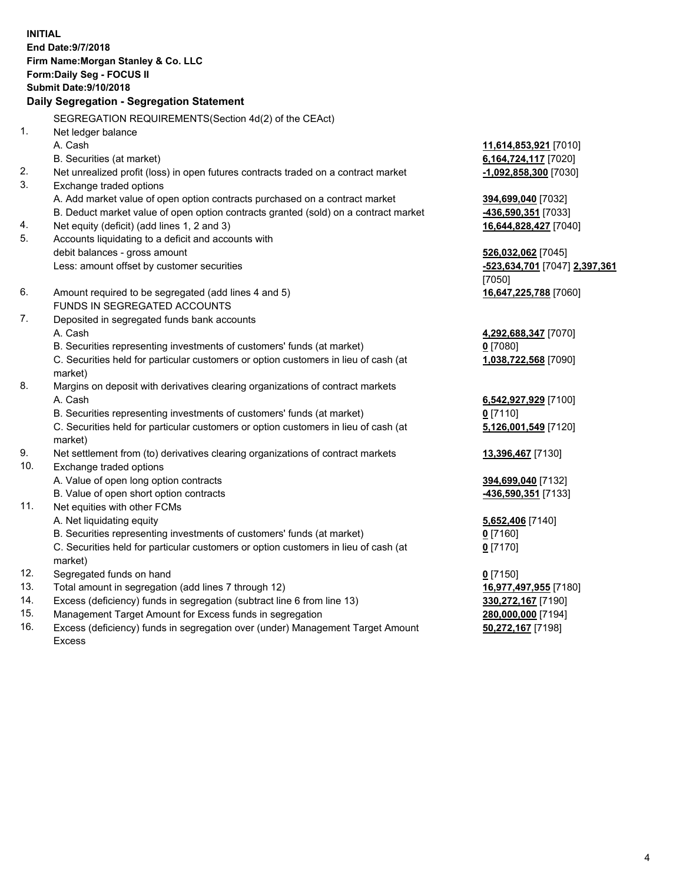**INITIAL End Date:9/7/2018 Firm Name:Morgan Stanley & Co. LLC Form:Daily Seg - FOCUS II Submit Date:9/10/2018 Daily Segregation - Segregation Statement** SEGREGATION REQUIREMENTS(Section 4d(2) of the CEAct) 1. Net ledger balance A. Cash **11,614,853,921** [7010] B. Securities (at market) **6,164,724,117** [7020] 2. Net unrealized profit (loss) in open futures contracts traded on a contract market **-1,092,858,300** [7030] 3. Exchange traded options A. Add market value of open option contracts purchased on a contract market **394,699,040** [7032] B. Deduct market value of open option contracts granted (sold) on a contract market **-436,590,351** [7033] 4. Net equity (deficit) (add lines 1, 2 and 3) **16,644,828,427** [7040] 5. Accounts liquidating to a deficit and accounts with debit balances - gross amount **526,032,062** [7045] Less: amount offset by customer securities **-523,634,701** [7047] **2,397,361** [7050] 6. Amount required to be segregated (add lines 4 and 5) **16,647,225,788** [7060] FUNDS IN SEGREGATED ACCOUNTS 7. Deposited in segregated funds bank accounts A. Cash **4,292,688,347** [7070] B. Securities representing investments of customers' funds (at market) **0** [7080] C. Securities held for particular customers or option customers in lieu of cash (at market) **1,038,722,568** [7090] 8. Margins on deposit with derivatives clearing organizations of contract markets A. Cash **6,542,927,929** [7100] B. Securities representing investments of customers' funds (at market) **0** [7110] C. Securities held for particular customers or option customers in lieu of cash (at market) **5,126,001,549** [7120] 9. Net settlement from (to) derivatives clearing organizations of contract markets **13,396,467** [7130] 10. Exchange traded options A. Value of open long option contracts **394,699,040** [7132] B. Value of open short option contracts **-436,590,351** [7133] 11. Net equities with other FCMs A. Net liquidating equity **5,652,406** [7140] B. Securities representing investments of customers' funds (at market) **0** [7160] C. Securities held for particular customers or option customers in lieu of cash (at market) **0** [7170] 12. Segregated funds on hand **0** [7150] 13. Total amount in segregation (add lines 7 through 12) **16,977,497,955** [7180] 14. Excess (deficiency) funds in segregation (subtract line 6 from line 13) **330,272,167** [7190] 15. Management Target Amount for Excess funds in segregation **280,000,000** [7194]

16. Excess (deficiency) funds in segregation over (under) Management Target Amount Excess

**50,272,167** [7198]